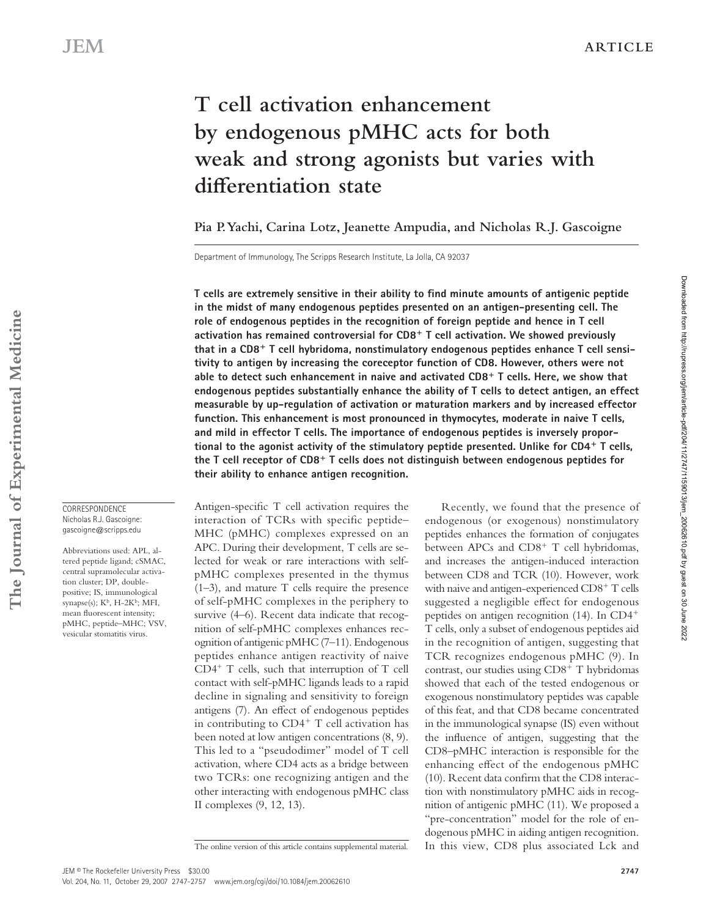# **T cell activation enhancement by endogenous pMHC acts for both weak and strong agonists but varies with diff erentiation state**

**Pia P. Yachi, Carina Lotz, Jeanette Ampudia, and Nicholas R.J. Gascoigne** 

Department of Immunology, The Scripps Research Institute, La Jolla, CA 92037

T cells are extremely sensitive in their ability to find minute amounts of antigenic peptide **in the midst of many endogenous peptides presented on an antigen-presenting cell. The role of endogenous peptides in the recognition of foreign peptide and hence in T cell**  activation has remained controversial for CD8<sup>+</sup> T cell activation. We showed previously that in a CD8<sup>+</sup> T cell hybridoma, nonstimulatory endogenous peptides enhance T cell sensi**tivity to antigen by increasing the coreceptor function of CD8. However, others were not**  able to detect such enhancement in naive and activated CD8<sup>+</sup> T cells. Here, we show that **endogenous peptides substantially enhance the ability of T cells to detect antigen, an effect measurable by up-regulation of activation or maturation markers and by increased effector function. This enhancement is most pronounced in thymocytes, moderate in naive T cells, and mild in effector T cells. The importance of endogenous peptides is inversely propor**tional to the agonist activity of the stimulatory peptide presented. Unlike for CD4<sup>+</sup> T cells, the T cell receptor of CD8<sup>+</sup> T cells does not distinguish between endogenous peptides for **their ability to enhance antigen recognition.** 

Antigen-specific  $T$  cell activation requires the interaction of TCRs with specific peptide-MHC (pMHC) complexes expressed on an APC. During their development, T cells are selected for weak or rare interactions with selfpMHC complexes presented in the thymus  $(1-3)$ , and mature T cells require the presence of self-pMHC complexes in the periphery to survive  $(4-6)$ . Recent data indicate that recognition of self-pMHC complexes enhances recognition of antigenic pMHC (7-11). Endogenous peptides enhance antigen reactivity of naive  $CD4^+$  T cells, such that interruption of T cell contact with self-pMHC ligands leads to a rapid decline in signaling and sensitivity to foreign antigens (7). An effect of endogenous peptides in contributing to CD4<sup>+</sup> T cell activation has been noted at low antigen concentrations (8, 9). This led to a "pseudodimer" model of T cell activation, where CD4 acts as a bridge between two TCRs: one recognizing antigen and the other interacting with endogenous pMHC class II complexes  $(9, 12, 13)$ .

The online version of this article contains supplemental material.

Recently, we found that the presence of endogenous (or exogenous) nonstimulatory peptides enhances the formation of conjugates between APCs and CD8<sup>+</sup> T cell hybridomas, and increases the antigen-induced interaction between CD8 and TCR (10). However, work with naive and antigen-experienced CD8<sup>+</sup> T cells suggested a negligible effect for endogenous peptides on antigen recognition (14). In CD4<sup>+</sup> T cells, only a subset of endogenous peptides aid in the recognition of antigen, suggesting that TCR recognizes endogenous pMHC (9). In contrast, our studies using CD8<sup>+</sup> T hybridomas showed that each of the tested endogenous or exogenous nonstimulatory peptides was capable of this feat, and that CD8 became concentrated in the immunological synapse (IS) even without the influence of antigen, suggesting that the CD8-pMHC interaction is responsible for the enhancing effect of the endogenous pMHC  $(10)$ . Recent data confirm that the CD8 interaction with nonstimulatory pMHC aids in recognition of antigenic pMHC (11). We proposed a "pre-concentration" model for the role of endogenous pMHC in aiding antigen recognition. In this view, CD8 plus associated Lck and

The Journal of Experimental Medicine **The Journal of Experimental Medicine**

**CORRESPONDENCE**  Nicholas R.J. Gascoigne: gascoigne@scripps.edu

Abbreviations used: APL, altered peptide ligand; cSMAC, central supramolecular activation cluster; DP, doublepositive; IS, immunological synapse(s);  $K^b$ , H-2 $K^b$ ; MFI, mean fluorescent intensity; pMHC, peptide-MHC; VSV, vesicular stomatitis virus.

JEM <sup>®</sup> The Rockefeller University Press \$30.00

Vol. 204, No. 11, October 29, 2007 2747-2757 www.jem.org/cgi/doi/ 10.1084/jem.20062610

Downloaded from http://rupress.org/jem/article-pdf/204/11/2747/1159013/jem\_20062610.pdf by guest on 30 June 2022

Downloaded from http://rupress.org/jem/article-pdf/2041111/2747/1199013/jem\_20062610.pdf by guest on 30 June 2022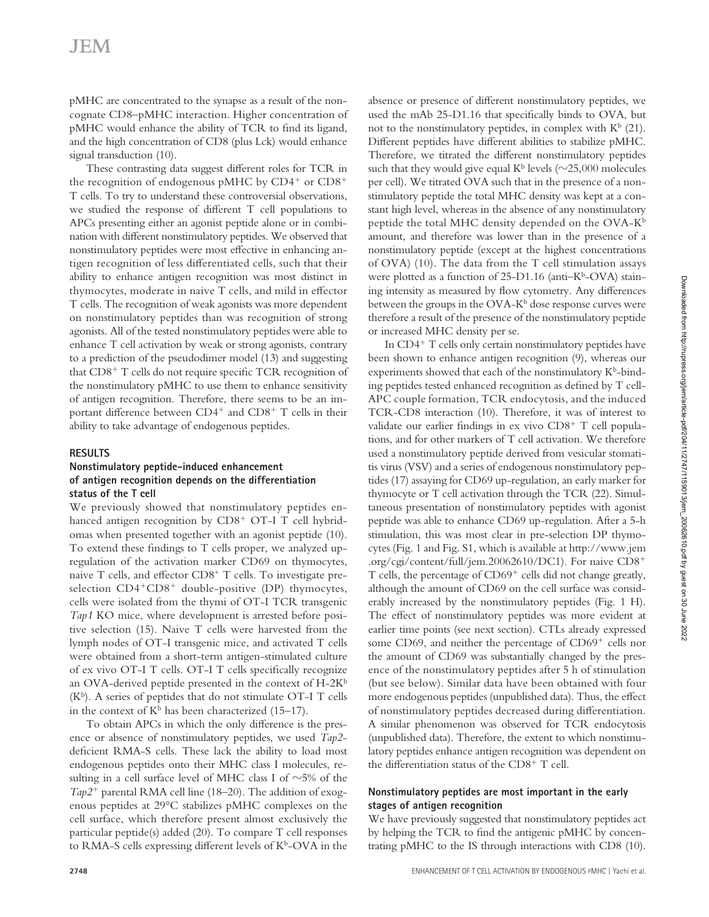# **JEM**

pMHC are concentrated to the synapse as a result of the noncognate CD8-pMHC interaction. Higher concentration of pMHC would enhance the ability of TCR to find its ligand, and the high concentration of CD8 (plus Lck) would enhance signal transduction (10).

These contrasting data suggest different roles for TCR in the recognition of endogenous pMHC by  $CD4^+$  or  $CD8^+$ T cells. To try to understand these controversial observations, we studied the response of different T cell populations to APCs presenting either an agonist peptide alone or in combination with different nonstimulatory peptides. We observed that nonstimulatory peptides were most effective in enhancing antigen recognition of less differentiated cells, such that their ability to enhance antigen recognition was most distinct in thymocytes, moderate in naive T cells, and mild in effector T cells. The recognition of weak agonists was more dependent on nonstimulatory peptides than was recognition of strong agonists. All of the tested nonstimulatory peptides were able to enhance T cell activation by weak or strong agonists, contrary to a prediction of the pseudodimer model (13) and suggesting that CD8<sup>+</sup> T cells do not require specific TCR recognition of the nonstimulatory pMHC to use them to enhance sensitivity of antigen recognition. Therefore, there seems to be an important difference between CD4<sup>+</sup> and CD8<sup>+</sup> T cells in their ability to take advantage of endogenous peptides.

## **RESULTS**

#### **Nonstimulatory peptide-induced enhancement of antigen recognition depends on the differentiation status of the T cell**

We previously showed that nonstimulatory peptides enhanced antigen recognition by CD8<sup>+</sup> OT-I T cell hybridomas when presented together with an agonist peptide (10). To extend these findings to T cells proper, we analyzed upregulation of the activation marker CD69 on thymocytes, naive T cells, and effector  $CD8^+$  T cells. To investigate preselection CD4<sup>+</sup>CD8<sup>+</sup> double-positive (DP) thymocytes, cells were isolated from the thymi of OT-I TCR transgenic *Tap1* KO mice, where development is arrested before positive selection (15). Naive  $T$  cells were harvested from the lymph nodes of OT-I transgenic mice, and activated T cells were obtained from a short-term antigen-stimulated culture of ex vivo OT-I T cells. OT-I T cells specifically recognize an OVA-derived peptide presented in the context of  $H-2K^b$  $(K^b)$ . A series of peptides that do not stimulate OT-I T cells in the context of  $K^b$  has been characterized (15–17).

To obtain APCs in which the only difference is the presence or absence of nonstimulatory peptides, we used *Tap2*deficient RMA-S cells. These lack the ability to load most endogenous peptides onto their MHC class I molecules, resulting in a cell surface level of MHC class I of  $\sim$ 5% of the Tap2<sup>+</sup> parental RMA cell line (18-20). The addition of exogenous peptides at  $29^{\circ}$ C stabilizes pMHC complexes on the cell surface, which therefore present almost exclusively the particular peptide(s) added  $(20)$ . To compare T cell responses to RMA-S cells expressing different levels of  $K^b$ -OVA in the

absence or presence of different nonstimulatory peptides, we used the mAb 25-D1.16 that specifically binds to OVA, but not to the nonstimulatory peptides, in complex with  $K^b$  (21). Different peptides have different abilities to stabilize pMHC. Therefore, we titrated the different nonstimulatory peptides such that they would give equal  $K^b$  levels ( $\sim$ 25,000 molecules per cell). We titrated OVA such that in the presence of a nonstimulatory peptide the total MHC density was kept at a constant high level, whereas in the absence of any nonstimulatory peptide the total MHC density depended on the OVA-K<sup>b</sup> amount, and therefore was lower than in the presence of a nonstimulatory peptide (except at the highest concentrations of OVA) (10). The data from the T cell stimulation assays were plotted as a function of  $25-D1.16$  (anti-K<sup>b</sup>-OVA) staining intensity as measured by flow cytometry. Any differences between the groups in the OVA-K<sup>b</sup> dose response curves were therefore a result of the presence of the nonstimulatory peptide or increased MHC density per se.

In CD4<sup>+</sup> T cells only certain nonstimulatory peptides have been shown to enhance antigen recognition (9), whereas our experiments showed that each of the nonstimulatory  $K^b$ -binding peptides tested enhanced recognition as defined by  $T$  cell-APC couple formation, TCR endocytosis, and the induced TCR-CD8 interaction (10). Therefore, it was of interest to validate our earlier findings in ex vivo CD8<sup>+</sup> T cell populations, and for other markers of T cell activation. We therefore used a nonstimulatory peptide derived from vesicular stomatitis virus (VSV) and a series of endogenous nonstimulatory peptides (17) assaying for CD69 up-regulation, an early marker for thymocyte or  $T$  cell activation through the  $TCR$  (22). Simultaneous presentation of nonstimulatory peptides with agonist peptide was able to enhance CD69 up-regulation. After a 5-h stimulation, this was most clear in pre-selection DP thymocytes (Fig. 1 and Fig. S1, which is available at http://www.jem .org/cgi/content/full/jem.20062610/DC1). For naive CD8<sup>+</sup> T cells, the percentage of CD69<sup>+</sup> cells did not change greatly, although the amount of CD69 on the cell surface was considerably increased by the nonstimulatory peptides (Fig. 1 H). The effect of nonstimulatory peptides was more evident at earlier time points (see next section). CTLs already expressed some CD69, and neither the percentage of CD69<sup>+</sup> cells nor the amount of CD69 was substantially changed by the presence of the nonstimulatory peptides after 5 h of stimulation (but see below). Similar data have been obtained with four more endogenous peptides (unpublished data). Thus, the effect of nonstimulatory peptides decreased during differentiation. A similar phenomenon was observed for TCR endocytosis (unpublished data). Therefore, the extent to which nonstimulatory peptides enhance antigen recognition was dependent on the differentiation status of the CD8<sup>+</sup> T cell.

## **Nonstimulatory peptides are most important in the early stages of antigen recognition**

We have previously suggested that nonstimulatory peptides act by helping the TCR to find the antigenic pMHC by concentrating pMHC to the IS through interactions with CD8 (10).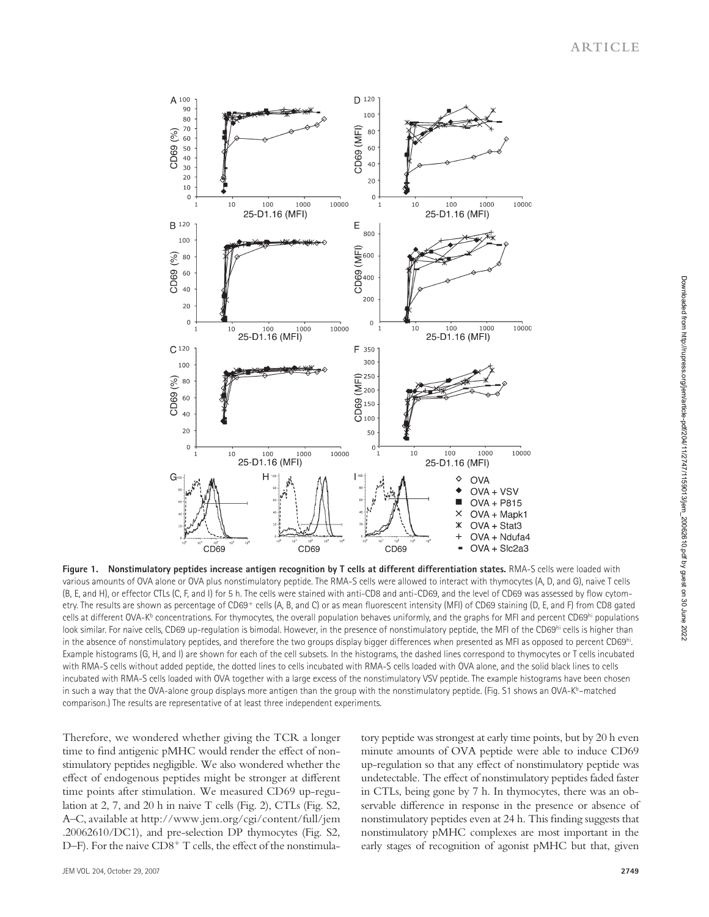

Figure 1. Nonstimulatory peptides increase antigen recognition by T cells at different differentiation states. RMA-S cells were loaded with various amounts of OVA alone or OVA plus nonstimulatory peptide. The RMA-S cells were allowed to interact with thymocytes (A, D, and G), naive T cells (B, E, and H), or effector CTLs (C, F, and I) for 5 h. The cells were stained with anti-CD8 and anti-CD69, and the level of CD69 was assessed by flow cytometry. The results are shown as percentage of CD69+ cells (A, B, and C) or as mean fluorescent intensity (MFI) of CD69 staining (D, E, and F) from CD8 gated cells at different OVA-Kb concentrations. For thymocytes, the overall population behaves uniformly, and the graphs for MFI and percent CD69hi populations look similar. For naive cells, CD69 up-regulation is bimodal. However, in the presence of nonstimulatory peptide, the MFI of the CD69hi cells is higher than in the absence of nonstimulatory peptides, and therefore the two groups display bigger differences when presented as MFI as opposed to percent CD69<sup>hi</sup>. Example histograms (G, H, and I) are shown for each of the cell subsets. In the histograms, the dashed lines correspond to thymocytes or T cells incubated with RMA-S cells without added peptide, the dotted lines to cells incubated with RMA-S cells loaded with OVA alone, and the solid black lines to cells incubated with RMA-S cells loaded with OVA together with a large excess of the nonstimulatory VSV peptide. The example histograms have been chosen in such a way that the OVA-alone group displays more antigen than the group with the nonstimulatory peptide. (Fig. S1 shows an OVA-K $b$ -matched comparison.) The results are representative of at least three independent experiments.

Therefore, we wondered whether giving the TCR a longer time to find antigenic pMHC would render the effect of nonstimulatory peptides negligible. We also wondered whether the effect of endogenous peptides might be stronger at different time points after stimulation. We measured CD69 up-regulation at  $2$ ,  $7$ , and  $20$  h in naive T cells (Fig. 2), CTLs (Fig. S2, A-C, available at http://www.jem.org/cgi/content/full/jem .20062610/DC1), and pre-selection DP thymocytes (Fig. S2, D-F). For the naive CD8<sup>+</sup> T cells, the effect of the nonstimulatory peptide was strongest at early time points, but by 20 h even minute amounts of OVA peptide were able to induce CD69 up-regulation so that any effect of nonstimulatory peptide was undetectable. The effect of nonstimulatory peptides faded faster in CTLs, being gone by 7 h. In thymocytes, there was an observable difference in response in the presence or absence of nonstimulatory peptides even at 24 h. This finding suggests that nonstimulatory pMHC complexes are most important in the early stages of recognition of agonist pMHC but that, given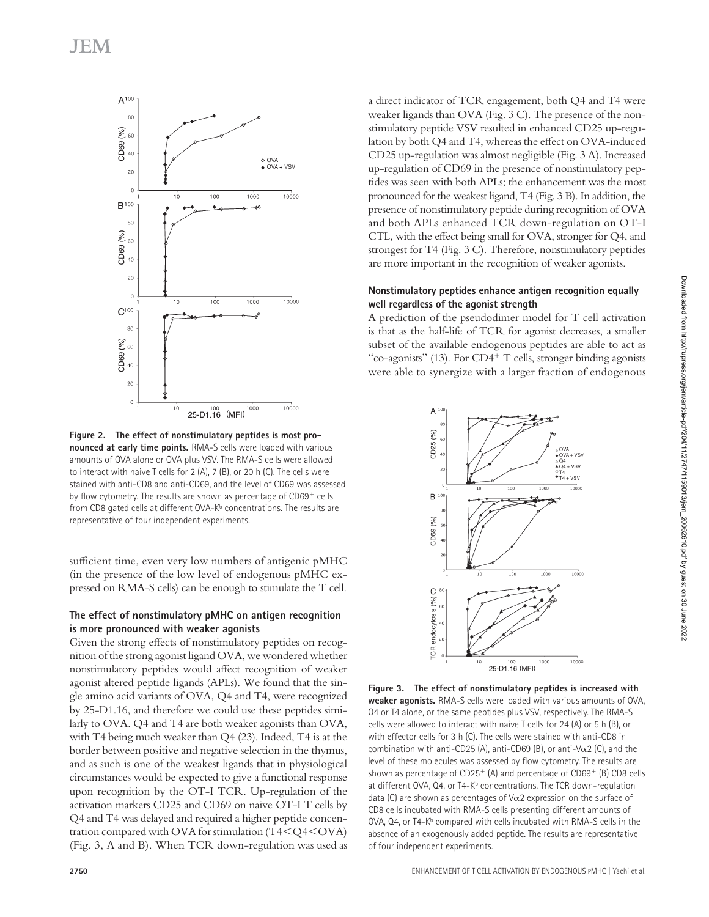

**Figure 2. The effect of nonstimulatory peptides is most pronounced at early time points.** RMA-S cells were loaded with various amounts of OVA alone or OVA plus VSV. The RMA-S cells were allowed to interact with naive T cells for 2 (A), 7 (B), or 20 h (C). The cells were stained with anti-CD8 and anti-CD69, and the level of CD69 was assessed by flow cytometry. The results are shown as percentage of CD69+ cells from CD8 gated cells at different OVA-K<sup>b</sup> concentrations. The results are representative of four independent experiments.

sufficient time, even very low numbers of antigenic pMHC (in the presence of the low level of endogenous pMHC expressed on RMA-S cells) can be enough to stimulate the T cell.

### **The effect of nonstimulatory pMHC on antigen recognition is more pronounced with weaker agonists**

Given the strong effects of nonstimulatory peptides on recognition of the strong agonist ligand OVA, we wondered whether nonstimulatory peptides would affect recognition of weaker agonist altered peptide ligands (APLs). We found that the single amino acid variants of OVA, Q4 and T4, were recognized by 25-D1.16, and therefore we could use these peptides similarly to OVA. Q4 and T4 are both weaker agonists than OVA, with T4 being much weaker than  $Q4$  (23). Indeed, T4 is at the border between positive and negative selection in the thymus, and as such is one of the weakest ligands that in physiological circumstances would be expected to give a functional response upon recognition by the OT-I TCR. Up-regulation of the activation markers CD25 and CD69 on naive OT-I T cells by Q4 and T4 was delayed and required a higher peptide concentration compared with OVA for stimulation  $(T4 < Q4 < OVA)$ (Fig. 3, A and B). When TCR down-regulation was used as a direct indicator of TCR engagement, both Q4 and T4 were weaker ligands than OVA (Fig. 3 C). The presence of the nonstimulatory peptide VSV resulted in enhanced CD25 up-regulation by both Q4 and T4, whereas the effect on OVA-induced CD25 up-regulation was almost negligible (Fig. 3 A). Increased up-regulation of CD69 in the presence of nonstimulatory peptides was seen with both APLs; the enhancement was the most pronounced for the weakest ligand, T4 (Fig. 3 B). In addition, the presence of nonstimulatory peptide during recognition of OVA and both APLs enhanced TCR down-regulation on OT-I CTL, with the effect being small for OVA, stronger for Q4, and strongest for T4 (Fig.  $3$  C). Therefore, nonstimulatory peptides are more important in the recognition of weaker agonists.

#### **Nonstimulatory peptides enhance antigen recognition equally well regardless of the agonist strength**

A prediction of the pseudodimer model for T cell activation is that as the half-life of TCR for agonist decreases, a smaller subset of the available endogenous peptides are able to act as " co-agonists" (13). For CD4 $+$  T cells, stronger binding agonists were able to synergize with a larger fraction of endogenous



**Figure 3. The effect of nonstimulatory peptides is increased with weaker agonists.** RMA-S cells were loaded with various amounts of OVA, Q4 or T4 alone, or the same peptides plus VSV, respectively. The RMA-S cells were allowed to interact with naive T cells for 24 (A) or 5 h (B), or with effector cells for 3 h (C). The cells were stained with anti-CD8 in combination with anti-CD25 (A), anti-CD69 (B), or anti-V $\alpha$ 2 (C), and the level of these molecules was assessed by flow cytometry. The results are shown as percentage of  $CD25<sup>+</sup>$  (A) and percentage of  $CD69<sup>+</sup>$  (B) CD8 cells at different OVA,  $Q4$ , or T4- $K^b$  concentrations. The TCR down-regulation data (C) are shown as percentages of  $\sqrt{\alpha}$  expression on the surface of CD8 cells incubated with RMA-S cells presenting different amounts of OVA, Q4, or T4-K<sup>b</sup> compared with cells incubated with RMA-S cells in the absence of an exogenously added peptide. The results are representative of four independent experiments.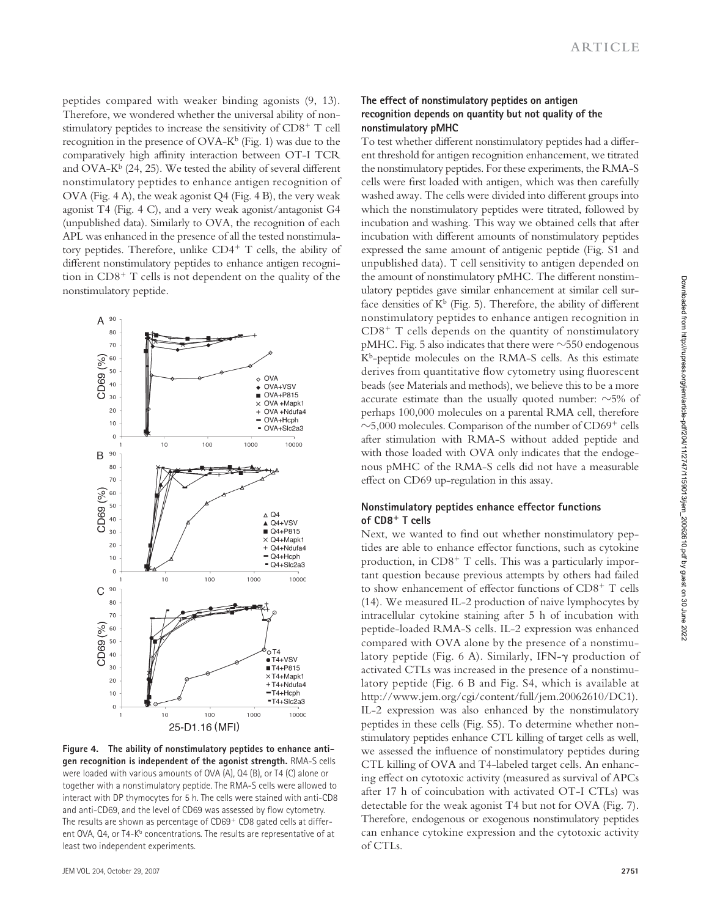peptides compared with weaker binding agonists  $(9, 13)$ . Therefore, we wondered whether the universal ability of nonstimulatory peptides to increase the sensitivity of CD8<sup>+</sup> T cell recognition in the presence of  $OVA-K^b$  (Fig. 1) was due to the comparatively high affinity interaction between OT-I TCR and OVA- $K^b$  (24, 25). We tested the ability of several different nonstimulatory peptides to enhance antigen recognition of OVA (Fig. 4 A), the weak agonist  $Q4$  (Fig. 4 B), the very weak agonist T4 (Fig. 4 C), and a very weak agonist/antagonist G4 (unpublished data). Similarly to OVA, the recognition of each APL was enhanced in the presence of all the tested nonstimulatory peptides. Therefore, unlike CD4<sup>+</sup> T cells, the ability of different nonstimulatory peptides to enhance antigen recognition in CD8<sup>+</sup> T cells is not dependent on the quality of the nonstimulatory peptide.



**Figure 4. The ability of nonstimulatory peptides to enhance antigen recognition is independent of the agonist strength.** RMA-S cells were loaded with various amounts of OVA (A), Q4 (B), or T4 (C) alone or together with a nonstimulatory peptide. The RMA-S cells were allowed to interact with DP thymocytes for 5 h. The cells were stained with anti-CD8 and anti-CD69, and the level of CD69 was assessed by flow cytometry. The results are shown as percentage of CD69+ CD8 gated cells at different OVA, Q4, or T4-K<sup>b</sup> concentrations. The results are representative of at least two independent experiments.

#### **The effect of nonstimulatory peptides on antigen recognition depends on quantity but not quality of the nonstimulatory pMHC**

To test whether different nonstimulatory peptides had a different threshold for antigen recognition enhancement, we titrated the nonstimulatory peptides. For these experiments, the RMA-S cells were first loaded with antigen, which was then carefully washed away. The cells were divided into different groups into which the nonstimulatory peptides were titrated, followed by incubation and washing. This way we obtained cells that after incubation with different amounts of nonstimulatory peptides expressed the same amount of antigenic peptide (Fig. S1 and unpublished data). T cell sensitivity to antigen depended on the amount of nonstimulatory pMHC. The different nonstimulatory peptides gave similar enhancement at similar cell surface densities of  $K^b$  (Fig. 5). Therefore, the ability of different nonstimulatory peptides to enhance antigen recognition in  $CD8<sup>+</sup>$  T cells depends on the quantity of nonstimulatory pMHC. Fig. 5 also indicates that there were  $\sim$ 550 endogenous  $K^b$ -peptide molecules on the RMA-S cells. As this estimate derives from quantitative flow cytometry using fluorescent beads (see Materials and methods), we believe this to be a more accurate estimate than the usually quoted number:  $\sim$ 5% of perhaps 100,000 molecules on a parental RMA cell, therefore  $\sim$ 5,000 molecules. Comparison of the number of CD69<sup>+</sup> cells after stimulation with RMA-S without added peptide and with those loaded with OVA only indicates that the endogenous pMHC of the RMA-S cells did not have a measurable effect on CD69 up-regulation in this assay.

#### **Nonstimulatory peptides enhance effector functions of CD8** - **T cells**

Next, we wanted to find out whether nonstimulatory peptides are able to enhance effector functions, such as cytokine production, in CD8<sup>+</sup> T cells. This was a particularly important question because previous attempts by others had failed to show enhancement of effector functions of CD8<sup>+</sup> T cells ( 14 ). We measured IL-2 production of naive lymphocytes by intracellular cytokine staining after 5 h of incubation with peptide-loaded RMA-S cells. IL-2 expression was enhanced compared with OVA alone by the presence of a nonstimulatory peptide (Fig. 6 A). Similarly, IFN- $\gamma$  production of activated CTLs was increased in the presence of a nonstimulatory peptide (Fig. 6 B and Fig. S4, which is available at http://www.jem.org/cgi/content/full/jem.20062610/DC1). IL-2 expression was also enhanced by the nonstimulatory peptides in these cells (Fig. S5). To determine whether nonstimulatory peptides enhance CTL killing of target cells as well, we assessed the influence of nonstimulatory peptides during CTL killing of OVA and T4-labeled target cells. An enhancing effect on cytotoxic activity (measured as survival of APCs after 17 h of coincubation with activated OT-I CTLs) was detectable for the weak agonist  $T4$  but not for OVA (Fig. 7). Therefore, endogenous or exogenous nonstimulatory peptides can enhance cytokine expression and the cytotoxic activity of CTLs.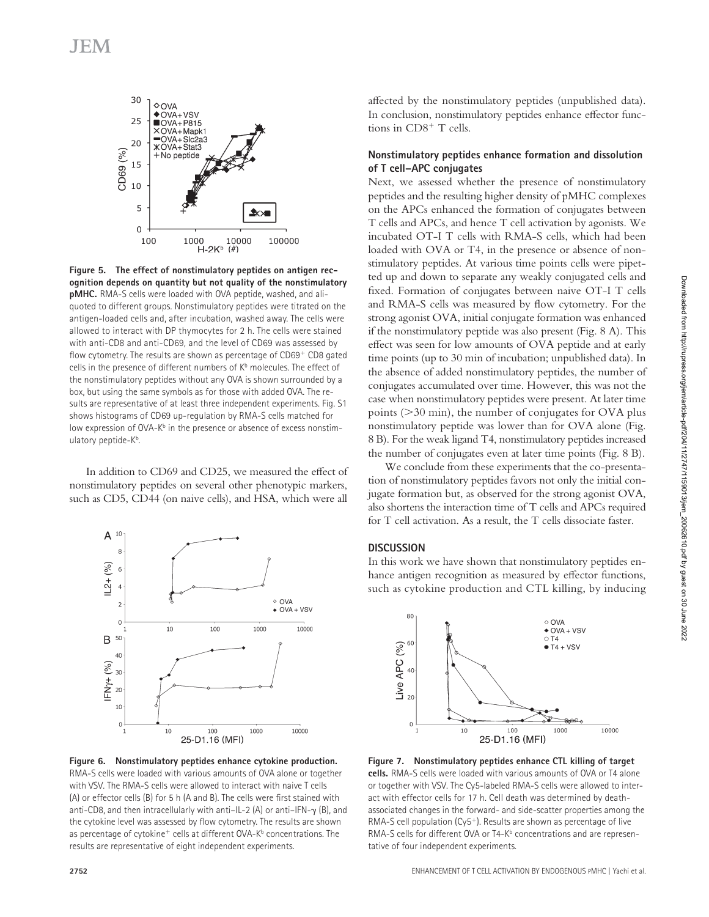

**Figure 5. The effect of nonstimulatory peptides on antigen recognition depends on quantity but not quality of the nonstimulatory pMHC.** RMA-S cells were loaded with OVA peptide, washed, and aliquoted to different groups. Nonstimulatory peptides were titrated on the antigen-loaded cells and, after incubation, washed away. The cells were allowed to interact with DP thymocytes for 2 h. The cells were stained with anti-CD8 and anti-CD69, and the level of CD69 was assessed by flow cytometry. The results are shown as percentage of CD69+ CD8 gated cells in the presence of different numbers of K<sup>b</sup> molecules. The effect of the nonstimulatory peptides without any OVA is shown surrounded by a box, but using the same symbols as for those with added OVA. The results are representative of at least three independent experiments. Fig. S1 shows histograms of CD69 up-regulation by RMA-S cells matched for low expression of OVA-K<sup>b</sup> in the presence or absence of excess nonstimulatory peptide-K<sup>b</sup>.

In addition to CD69 and CD25, we measured the effect of nonstimulatory peptides on several other phenotypic markers, such as CD5, CD44 (on naive cells), and HSA, which were all



**Figure 6. Nonstimulatory peptides enhance cytokine production.**  RMA-S cells were loaded with various amounts of OVA alone or together with VSV. The RMA-S cells were allowed to interact with naive T cells (A) or effector cells (B) for 5 h (A and B). The cells were first stained with anti-CD8, and then intracellularly with anti-IL-2 (A) or anti-IFN- $\gamma$  (B), and the cytokine level was assessed by flow cytometry. The results are shown as percentage of cytokine<sup>+</sup> cells at different OVA-K<sup>b</sup> concentrations. The results are representative of eight independent experiments.

### **Nonstimulatory peptides enhance formation and dissolution of T cell – APC conjugates**

Next, we assessed whether the presence of nonstimulatory peptides and the resulting higher density of pMHC complexes on the APCs enhanced the formation of conjugates between T cells and APCs, and hence T cell activation by agonists. We incubated OT-I T cells with RMA-S cells, which had been loaded with OVA or T4, in the presence or absence of nonstimulatory peptides. At various time points cells were pipetted up and down to separate any weakly conjugated cells and fixed. Formation of conjugates between naive OT-I T cells and RMA-S cells was measured by flow cytometry. For the strong agonist OVA, initial conjugate formation was enhanced if the nonstimulatory peptide was also present (Fig. 8 A). This effect was seen for low amounts of OVA peptide and at early time points (up to 30 min of incubation; unpublished data). In the absence of added nonstimulatory peptides, the number of conjugates accumulated over time. However, this was not the case when nonstimulatory peptides were present. At later time points  $($ >30 min), the number of conjugates for OVA plus nonstimulatory peptide was lower than for OVA alone (Fig. 8 B). For the weak ligand T4, nonstimulatory peptides increased the number of conjugates even at later time points (Fig. 8 B).

We conclude from these experiments that the co-presentation of nonstimulatory peptides favors not only the initial conjugate formation but, as observed for the strong agonist OVA, also shortens the interaction time of T cells and APCs required for T cell activation. As a result, the T cells dissociate faster.

#### **DISCUSSION**

In this work we have shown that nonstimulatory peptides enhance antigen recognition as measured by effector functions, such as cytokine production and CTL killing, by inducing



**Figure 7. Nonstimulatory peptides enhance CTL killing of target cells.** RMA-S cells were loaded with various amounts of OVA or T4 alone or together with VSV. The Cy5-labeled RMA-S cells were allowed to interact with effector cells for 17 h. Cell death was determined by deathassociated changes in the forward- and side-scatter properties among the RMA-S cell population  $(Cy5<sup>+</sup>)$ . Results are shown as percentage of live RMA-S cells for different OVA or T4-K<sup>b</sup> concentrations and are representative of four independent experiments.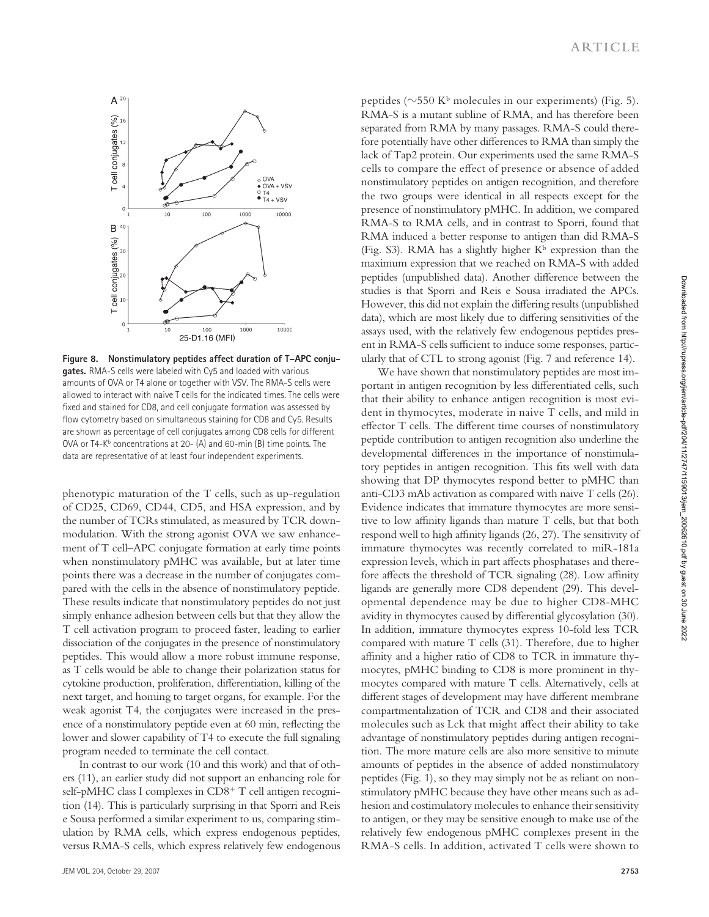

Figure 8. Nonstimulatory peptides affect duration of T-APC conju**gates.** RMA-S cells were labeled with Cy5 and loaded with various amounts of OVA or T4 alone or together with VSV. The RMA-S cells were allowed to interact with naive T cells for the indicated times. The cells were fixed and stained for CD8, and cell conjugate formation was assessed by flow cytometry based on simultaneous staining for CD8 and Cy5. Results are shown as percentage of cell conjugates among CD8 cells for different OVA or T4-K<sup>b</sup> concentrations at 20- (A) and 60-min (B) time points. The data are representative of at least four independent experiments.

phenotypic maturation of the T cells, such as up-regulation of CD25, CD69, CD44, CD5, and HSA expression, and by the number of TCRs stimulated, as measured by TCR downmodulation. With the strong agonist OVA we saw enhancement of T cell-APC conjugate formation at early time points when nonstimulatory pMHC was available, but at later time points there was a decrease in the number of conjugates compared with the cells in the absence of nonstimulatory peptide. These results indicate that nonstimulatory peptides do not just simply enhance adhesion between cells but that they allow the T cell activation program to proceed faster, leading to earlier dissociation of the conjugates in the presence of nonstimulatory peptides. This would allow a more robust immune response, as T cells would be able to change their polarization status for cytokine production, proliferation, differentiation, killing of the next target, and homing to target organs, for example. For the weak agonist T4, the conjugates were increased in the presence of a nonstimulatory peptide even at  $60$  min, reflecting the lower and slower capability of T4 to execute the full signaling program needed to terminate the cell contact.

In contrast to our work (10 and this work) and that of others (11), an earlier study did not support an enhancing role for self-pMHC class I complexes in CD8<sup>+</sup> T cell antigen recognition (14). This is particularly surprising in that Sporri and Reis e Sousa performed a similar experiment to us, comparing stimulation by RMA cells, which express endogenous peptides, versus RMA-S cells, which express relatively few endogenous peptides ( $\sim$ 550 K<sup>b</sup> molecules in our experiments) (Fig. 5). RMA-S is a mutant subline of RMA, and has therefore been separated from RMA by many passages. RMA-S could therefore potentially have other differences to RMA than simply the lack of Tap2 protein. Our experiments used the same RMA-S cells to compare the effect of presence or absence of added nonstimulatory peptides on antigen recognition, and therefore the two groups were identical in all respects except for the presence of nonstimulatory pMHC. In addition, we compared RMA-S to RMA cells, and in contrast to Sporri, found that RMA induced a better response to antigen than did RMA-S (Fig. S3). RMA has a slightly higher  $K^b$  expression than the maximum expression that we reached on RMA-S with added peptides (unpublished data). Another difference between the studies is that Sporri and Reis e Sousa irradiated the APCs. However, this did not explain the differing results (unpublished data), which are most likely due to differing sensitivities of the assays used, with the relatively few endogenous peptides present in RMA-S cells sufficient to induce some responses, particularly that of CTL to strong agonist (Fig. 7 and reference 14).

We have shown that nonstimulatory peptides are most important in antigen recognition by less differentiated cells, such that their ability to enhance antigen recognition is most evident in thymocytes, moderate in naive T cells, and mild in effector T cells. The different time courses of nonstimulatory peptide contribution to antigen recognition also underline the developmental differences in the importance of nonstimulatory peptides in antigen recognition. This fits well with data showing that DP thymocytes respond better to pMHC than anti-CD3 mAb activation as compared with naive T cells (26). Evidence indicates that immature thymocytes are more sensitive to low affinity ligands than mature  $T$  cells, but that both respond well to high affinity ligands (26, 27). The sensitivity of immature thymocytes was recently correlated to miR-181a expression levels, which in part affects phosphatases and therefore affects the threshold of TCR signaling (28). Low affinity ligands are generally more CD8 dependent (29). This developmental dependence may be due to higher CD8-MHC avidity in thymocytes caused by differential glycosylation (30). In addition, immature thymocytes express 10-fold less TCR compared with mature  $T$  cells (31). Therefore, due to higher affinity and a higher ratio of CD8 to TCR in immature thymocytes, pMHC binding to CD8 is more prominent in thymocytes compared with mature T cells. Alternatively, cells at different stages of development may have different membrane compartmentalization of TCR and CD8 and their associated molecules such as Lck that might affect their ability to take advantage of nonstimulatory peptides during antigen recognition. The more mature cells are also more sensitive to minute amounts of peptides in the absence of added nonstimulatory peptides (Fig. 1), so they may simply not be as reliant on nonstimulatory pMHC because they have other means such as adhesion and costimulatory molecules to enhance their sensitivity to antigen, or they may be sensitive enough to make use of the relatively few endogenous pMHC complexes present in the RMA-S cells. In addition, activated T cells were shown to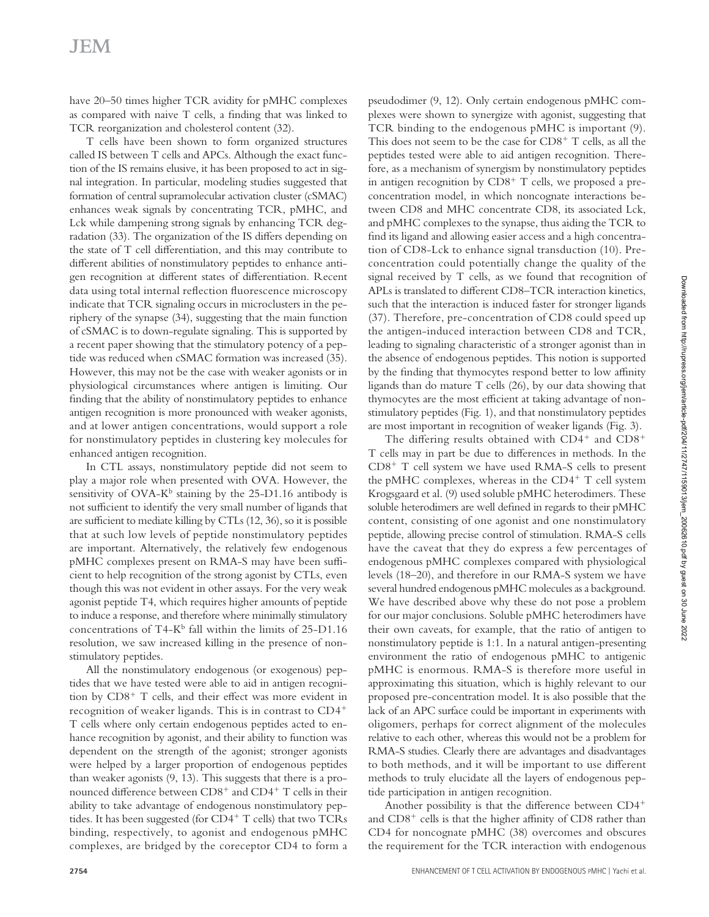# **JEM**

have 20-50 times higher TCR avidity for pMHC complexes as compared with naive  $T$  cells, a finding that was linked to TCR reorganization and cholesterol content (32).

T cells have been shown to form organized structures called IS between T cells and APCs. Although the exact function of the IS remains elusive, it has been proposed to act in signal integration. In particular, modeling studies suggested that formation of central supramolecular activation cluster (cSMAC) enhances weak signals by concentrating TCR, pMHC, and Lck while dampening strong signals by enhancing TCR degradation (33). The organization of the IS differs depending on the state of  $T$  cell differentiation, and this may contribute to different abilities of nonstimulatory peptides to enhance antigen recognition at different states of differentiation. Recent data using total internal reflection fluorescence microscopy indicate that TCR signaling occurs in microclusters in the periphery of the synapse (34), suggesting that the main function of cSMAC is to down-regulate signaling. This is supported by a recent paper showing that the stimulatory potency of a peptide was reduced when cSMAC formation was increased (35). However, this may not be the case with weaker agonists or in physiological circumstances where antigen is limiting. Our finding that the ability of nonstimulatory peptides to enhance antigen recognition is more pronounced with weaker agonists, and at lower antigen concentrations, would support a role for nonstimulatory peptides in clustering key molecules for enhanced antigen recognition.

In CTL assays, nonstimulatory peptide did not seem to play a major role when presented with OVA. However, the sensitivity of  $OVA-K^b$  staining by the 25-D1.16 antibody is not sufficient to identify the very small number of ligands that are sufficient to mediate killing by CTLs (12, 36), so it is possible that at such low levels of peptide nonstimulatory peptides are important. Alternatively, the relatively few endogenous pMHC complexes present on RMA-S may have been sufficient to help recognition of the strong agonist by CTLs, even though this was not evident in other assays. For the very weak agonist peptide T4, which requires higher amounts of peptide to induce a response, and therefore where minimally stimulatory concentrations of T4-K<sup>b</sup> fall within the limits of 25-D1.16 resolution, we saw increased killing in the presence of nonstimulatory peptides.

All the nonstimulatory endogenous (or exogenous) peptides that we have tested were able to aid in antigen recognition by CD8<sup>+</sup> T cells, and their effect was more evident in recognition of weaker ligands. This is in contrast to CD4<sup>+</sup> T cells where only certain endogenous peptides acted to enhance recognition by agonist, and their ability to function was dependent on the strength of the agonist; stronger agonists were helped by a larger proportion of endogenous peptides than weaker agonists  $(9, 13)$ . This suggests that there is a pronounced difference between CD8<sup>+</sup> and CD4<sup>+</sup> T cells in their ability to take advantage of endogenous nonstimulatory peptides. It has been suggested (for CD4<sup>+</sup> T cells) that two TCRs binding, respectively, to agonist and endogenous pMHC complexes, are bridged by the coreceptor CD4 to form a

pseudodimer (9, 12). Only certain endogenous pMHC complexes were shown to synergize with agonist, suggesting that TCR binding to the endogenous pMHC is important (9). This does not seem to be the case for  $CD8<sup>+</sup>$  T cells, as all the peptides tested were able to aid antigen recognition. Therefore, as a mechanism of synergism by nonstimulatory peptides in antigen recognition by CD8<sup>+</sup> T cells, we proposed a preconcentration model, in which noncognate interactions between CD8 and MHC concentrate CD8, its associated Lck, and pMHC complexes to the synapse, thus aiding the TCR to find its ligand and allowing easier access and a high concentration of CD8-Lck to enhance signal transduction (10). Preconcentration could potentially change the quality of the signal received by T cells, as we found that recognition of APLs is translated to different CD8–TCR interaction kinetics, such that the interaction is induced faster for stronger ligands (37). Therefore, pre-concentration of CD8 could speed up the antigen-induced interaction between CD8 and TCR, leading to signaling characteristic of a stronger agonist than in the absence of endogenous peptides. This notion is supported by the finding that thymocytes respond better to low affinity ligands than do mature  $T$  cells  $(26)$ , by our data showing that thymocytes are the most efficient at taking advantage of nonstimulatory peptides (Fig. 1), and that nonstimulatory peptides are most important in recognition of weaker ligands (Fig. 3).

The differing results obtained with  $CD4^+$  and  $CD8^+$ T cells may in part be due to differences in methods. In the CD8<sup>+</sup> T cell system we have used RMA-S cells to present the pMHC complexes, whereas in the CD4<sup>+</sup> T cell system Krogsgaard et al. (9) used soluble pMHC heterodimers. These soluble heterodimers are well defined in regards to their pMHC content, consisting of one agonist and one nonstimulatory peptide, allowing precise control of stimulation. RMA-S cells have the caveat that they do express a few percentages of endogenous pMHC complexes compared with physiological levels (18-20), and therefore in our RMA-S system we have several hundred endogenous pMHC molecules as a background. We have described above why these do not pose a problem for our major conclusions. Soluble pMHC heterodimers have their own caveats, for example, that the ratio of antigen to nonstimulatory peptide is 1:1. In a natural antigen-presenting environment the ratio of endogenous pMHC to antigenic pMHC is enormous. RMA-S is therefore more useful in approximating this situation, which is highly relevant to our proposed pre-concentration model. It is also possible that the lack of an APC surface could be important in experiments with oligomers, perhaps for correct alignment of the molecules relative to each other, whereas this would not be a problem for RMA-S studies. Clearly there are advantages and disadvantages to both methods, and it will be important to use different methods to truly elucidate all the layers of endogenous peptide participation in antigen recognition.

Another possibility is that the difference between CD4<sup>+</sup> and CD8<sup>+</sup> cells is that the higher affinity of CD8 rather than CD4 for noncognate pMHC (38) overcomes and obscures the requirement for the TCR interaction with endogenous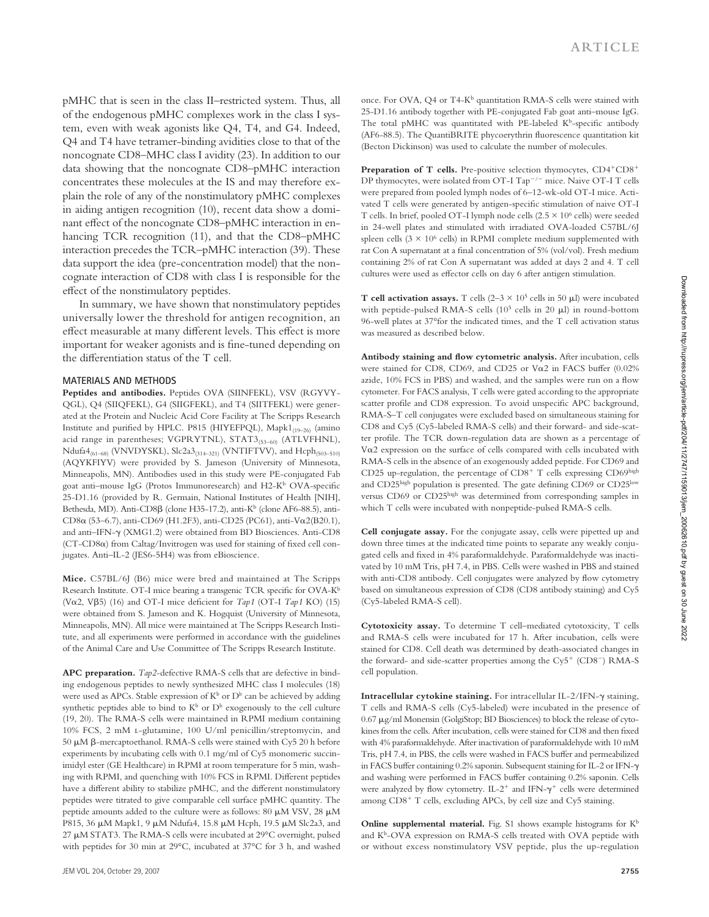pMHC that is seen in the class II-restricted system. Thus, all of the endogenous pMHC complexes work in the class I system, even with weak agonists like Q4, T4, and G4. Indeed, Q4 and T4 have tetramer-binding avidities close to that of the noncognate CD8–MHC class I avidity (23). In addition to our data showing that the noncognate CD8-pMHC interaction concentrates these molecules at the IS and may therefore explain the role of any of the nonstimulatory pMHC complexes in aiding antigen recognition (10), recent data show a dominant effect of the noncognate CD8-pMHC interaction in enhancing TCR recognition (11), and that the CD8-pMHC interaction precedes the TCR-pMHC interaction (39). These data support the idea (pre-concentration model) that the noncognate interaction of CD8 with class I is responsible for the effect of the nonstimulatory peptides.

In summary, we have shown that nonstimulatory peptides universally lower the threshold for antigen recognition, an effect measurable at many different levels. This effect is more important for weaker agonists and is fine-tuned depending on the differentiation status of the T cell.

#### **MATERIALS AND METHODS**

**Peptides and antibodies.** Peptides OVA (SIINFEKL), VSV (RGYVY-QGL), Q4 (SIIQFEKL), G4 (SIIGFEKL), and T4 (SIITFEKL) were generated at the Protein and Nucleic Acid Core Facility at The Scripps Research Institute and purified by HPLC. P815 (HIYEFPQL), Mapk1<sub>(19-26)</sub> (amino acid range in parentheses; VGPRYTNL), STAT3(53-60) (ATLVFHNL),  $Ndufa4_{(61-68)}$  (VNVDYSKL), Slc2a3<sub>(314-321)</sub> (VNTIFTVV), and Hcph<sub>(503-510)</sub> (AQYKFIYV) were provided by S. Jameson (University of Minnesota, Minneapolis, MN). Antibodies used in this study were PE-conjugated Fab goat anti-mouse IgG (Protos Immunoresearch) and H2-K<sup>b</sup> OVA-specific 25-D1.16 (provided by R. Germain, National Institutes of Health [NIH], Bethesda, MD). Anti-CD8 $\beta$  (clone H35-17.2), anti-K<sup>b</sup> (clone AF6-88.5), anti-CD8 α (53-6.7), anti-CD69 (H1.2F3), anti-CD25 (PC61), anti-Vα2(B20.1), and anti-IFN- $\gamma$  (XMG1.2) were obtained from BD Biosciences. Anti-CD8  $(CT-CD8\alpha)$  from Caltag/Invitrogen was used for staining of fixed cell conjugates. Anti-IL-2 (JES6-5H4) was from eBioscience.

**Mice.** C57BL/6J (B6) mice were bred and maintained at The Scripps Research Institute. OT-I mice bearing a transgenic TCR specific for OVA-K<sup>b</sup> (V $\alpha$ 2, V $\beta$ 5) (16) and OT-I mice deficient for *Tap1* (OT-I *Tap1* KO) (15) were obtained from S. Jameson and K. Hogquist (University of Minnesota, Minneapolis, MN). All mice were maintained at The Scripps Research Institute, and all experiments were performed in accordance with the guidelines of the Animal Care and Use Committee of The Scripps Research Institute.

**APC preparation.** *Tap2*-defective RMA-S cells that are defective in binding endogenous peptides to newly synthesized MHC class I molecules (18) were used as APCs. Stable expression of  $K^b$  or  $D^b$  can be achieved by adding synthetic peptides able to bind to  $K^b$  or  $D^b$  exogenously to the cell culture (19, 20). The RMA-S cells were maintained in RPMI medium containing 10% FCS, 2 mM l -glutamine, 100 U/ml penicillin/streptomycin, and 50  $\mu$ M  $\beta$ -mercaptoethanol. RMA-S cells were stained with Cy5 20 h before experiments by incubating cells with 0.1 mg/ml of Cy5 monomeric succinimidyl ester (GE Healthcare) in RPMI at room temperature for 5 min, washing with RPMI, and quenching with 10% FCS in RPMI. Different peptides have a different ability to stabilize pMHC, and the different nonstimulatory peptides were titrated to give comparable cell surface pMHC quantity. The peptide amounts added to the culture were as follows: 80  $\mu$ M VSV, 28  $\mu$ M P815, 36  $\mu$ M Mapk1, 9  $\mu$ M Ndufa4, 15.8  $\mu$ M Hcph, 19.5  $\mu$ M Slc2a3, and  $27 \mu$ M STAT3. The RMA-S cells were incubated at  $29^{\circ}$ C overnight, pulsed with peptides for 30 min at 29°C, incubated at 37°C for 3 h, and washed

once. For OVA, Q4 or T4-K<sup>b</sup> quantitation RMA-S cells were stained with 25-D1.16 antibody together with PE-conjugated Fab goat anti-mouse IgG. The total pMHC was quantitated with PE-labeled  $K^b$ -specific antibody (AF6-88.5). The QuantiBRITE phycoerythrin fluorescence quantitation kit (Becton Dickinson) was used to calculate the number of molecules.

Preparation of T cells. Pre-positive selection thymocytes, CD4<sup>+</sup>CD8<sup>+</sup> DP thymocytes, were isolated from OT-I Tap<sup> $-/-$ </sup> mice. Naive OT-I T cells were prepared from pooled lymph nodes of 6-12-wk-old OT-I mice. Activated T cells were generated by antigen-specific stimulation of naive OT-I T cells. In brief, pooled OT-I lymph node cells  $(2.5 \times 10^6 \text{ cells})$  were seeded in 24-well plates and stimulated with irradiated OVA-loaded C57BL/6J spleen cells  $(3 \times 10^6 \text{ cells})$  in RPMI complete medium supplemented with rat Con A supernatant at a final concentration of 5% (vol/vol). Fresh medium containing 2% of rat Con A supernatant was added at days 2 and 4. T cell cultures were used as effector cells on day 6 after antigen stimulation.

**T cell activation assays.** T cells  $(2-3 \times 10^5 \text{ cells in } 50 \text{ }\mu\text{I})$  were incubated with peptide-pulsed RMA-S cells  $(10^5 \text{ cells in } 20 \text{ }\mu\text{I})$  in round-bottom 96-well plates at 37° for the indicated times, and the T cell activation status was measured as described below.

Antibody staining and flow cytometric analysis. After incubation, cells were stained for CD8, CD69, and CD25 or V $\alpha$ 2 in FACS buffer (0.02%) azide, 10% FCS in PBS) and washed, and the samples were run on a flow cytometer. For FACS analysis, T cells were gated according to the appropriate scatter profile and CD8 expression. To avoid unspecific APC background, RMA-S-T cell conjugates were excluded based on simultaneous staining for CD8 and Cy5 (Cy5-labeled RMA-S cells) and their forward- and side-scatter profile. The TCR down-regulation data are shown as a percentage of V $\alpha$ 2 expression on the surface of cells compared with cells incubated with RMA-S cells in the absence of an exogenously added peptide. For CD69 and CD25 up-regulation, the percentage of  $CD8<sup>+</sup>$  T cells expressing  $CD69<sup>high</sup>$ and CD25high population is presented. The gate defining CD69 or CD25low versus CD69 or CD25high was determined from corresponding samples in which T cells were incubated with nonpeptide-pulsed RMA-S cells.

**Cell conjugate assay.** For the conjugate assay, cells were pipetted up and down three times at the indicated time points to separate any weakly conjugated cells and fixed in 4% paraformaldehyde. Paraformaldehyde was inactivated by 10 mM Tris, pH 7.4, in PBS. Cells were washed in PBS and stained with anti-CD8 antibody. Cell conjugates were analyzed by flow cytometry based on simultaneous expression of CD8 (CD8 antibody staining) and Cy5 (Cy5-labeled RMA-S cell).

Cytotoxicity assay. To determine T cell-mediated cytotoxicity, T cells and RMA-S cells were incubated for 17 h. After incubation, cells were stained for CD8. Cell death was determined by death-associated changes in the forward- and side-scatter properties among the Cy5<sup>+</sup> (CD8<sup>-</sup>) RMA-S cell population.

Intracellular cytokine staining. For intracellular IL-2/IFN-γ staining, T cells and RMA-S cells (Cy5-labeled) were incubated in the presence of 0.67 µg/ml Monensin (GolgiStop; BD Biosciences) to block the release of cytokines from the cells. After incubation, cells were stained for CD8 and then fixed with 4% paraformaldehyde. After inactivation of paraformaldehyde with 10 mM Tris, pH 7.4, in PBS, the cells were washed in FACS buffer and permeabilized in FACS buffer containing 0.2% saponin. Subsequent staining for IL-2 or IFN- $\gamma$ and washing were performed in FACS buffer containing 0.2% saponin. Cells were analyzed by flow cytometry.  $IL-2^+$  and IFN- $\gamma^+$  cells were determined among CD8<sup>+</sup> T cells, excluding APCs, by cell size and Cy5 staining.

**Online supplemental material.** Fig. S1 shows example histograms for  $K^b$ and K<sup>b</sup>-OVA expression on RMA-S cells treated with OVA peptide with or without excess nonstimulatory VSV peptide, plus the up-regulation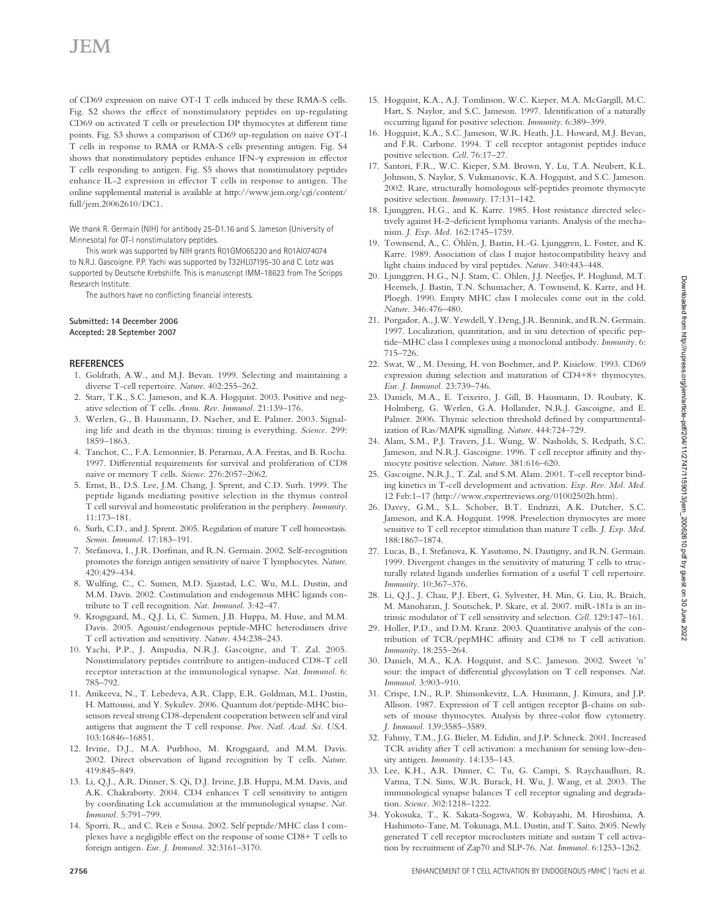of CD69 expression on naive OT-I T cells induced by these RMA-S cells. Fig. S2 shows the effect of nonstimulatory peptides on up-regulating CD69 on activated T cells or preselection DP thymocytes at different time points. Fig. S3 shows a comparison of CD69 up-regulation on naive OT-I T cells in response to RMA or RMA-S cells presenting antigen. Fig. S4 shows that nonstimulatory peptides enhance IFN- $\gamma$  expression in effector T cells responding to antigen. Fig. S5 shows that nonstimulatory peptides enhance IL-2 expression in effector  $T$  cells in response to antigen. The online supplemental material is available at http://www.jem.org/cgi/content/ full/jem.20062610/DC1.

 We thank R. Germain (NIH) for antibody 25-D1.16 and S. Jameson (University of Minnesota) for OT-I nonstimulatory peptides.

 This work was supported by NIH grants R01GM065230 and R01AI074074 to N.R.J. Gascoigne. P.P. Yachi was supported by T32HL07195-30 and C. Lotz was supported by Deutsche Krebshilfe. This is manuscript IMM-18623 from The Scripps Research Institute.

The authors have no conflicting financial interests.

#### **Submitted: 14 December 2006 Accepted: 28 September 2007**

#### **REFERENCES**

- 1. Goldrath, A.W., and M.J. Bevan. 1999. Selecting and maintaining a diverse T-cell repertoire. *Nature*. 402:255-262.
- 2. Starr, T.K., S.C. Jameson, and K.A. Hogquist. 2003. Positive and negative selection of T cells. Annu. Rev. Immunol. 21:139-176.
- 3. Werlen, G., B. Hausmann, D. Naeher, and E. Palmer. 2003. Signaling life and death in the thymus: timing is everything. *Science*. 299 : 1859-1863.
- 4. Tanchot, C., F.A. Lemonnier, B. Perarnau, A.A. Freitas, and B. Rocha. 1997. Differential requirements for survival and proliferation of CD8 naive or memory T cells. *Science*. 276:2057-2062.
- 5. Ernst, B., D.S. Lee, J.M. Chang, J. Sprent, and C.D. Surh. 1999. The peptide ligands mediating positive selection in the thymus control T cell survival and homeostatic proliferation in the periphery. *Immunity*. 11:173-181.
- 6. Surh, C.D., and J. Sprent. 2005. Regulation of mature T cell homeostasis. Semin. Immunol. 17:183-191.
- 7. Stefanova, I., J.R. Dorfman, and R.N. Germain. 2002. Self-recognition promotes the foreign antigen sensitivity of naive T lymphocytes. *Nature*. 420 : 429 – 434 .
- 8. Wulfing, C., C. Sumen, M.D. Sjaastad, L.C. Wu, M.L. Dustin, and M.M. Davis . 2002 . Costimulation and endogenous MHC ligands contribute to T cell recognition. Nat. Immunol. 3:42-47.
- 9. Krogsgaard, M., Q.J. Li, C. Sumen, J.B. Huppa, M. Huse, and M.M. Davis. 2005. Agonist/endogenous peptide-MHC heterodimers drive T cell activation and sensitivity. *Nature*. 434:238-243.
- 10. Yachi, P.P., J. Ampudia, N.R.J. Gascoigne, and T. Zal. 2005. Nonstimulatory peptides contribute to antigen-induced CD8-T cell receptor interaction at the immunological synapse. Nat. Immunol. 6: 785 – 792.
- 11. Anikeeva, N., T. Lebedeva, A.R. Clapp, E.R. Goldman, M.L. Dustin, H. Mattoussi, and Y. Sykulev. 2006. Quantum dot/peptide-MHC biosensors reveal strong CD8-dependent cooperation between self and viral antigens that augment the T cell response. *Proc. Natl. Acad. Sci. USA*. 103:16846-16851.
- 12. Irvine, D.J., M.A. Purbhoo, M. Krogsgaard, and M.M. Davis. 2002 . Direct observation of ligand recognition by T cells. *Nature*. 419 : 845 – 849 .
- 13. Li, Q.J., A.R. Dinner, S. Qi, D.J. Irvine, J.B. Huppa, M.M. Davis, and A.K. Chakraborty. 2004. CD4 enhances T cell sensitivity to antigen by coordinating Lck accumulation at the immunological synapse. *Nat.*  Immunol. 5:791-799.
- 14. Sporri, R., and C. Reis e Sousa. 2002. Self peptide/MHC class I complexes have a negligible effect on the response of some CD8+ T cells to foreign antigen. *Eur. J. Immunol.* 32:3161-3170.
- 15. Hogquist, K.A., A.J. Tomlinson, W.C. Kieper, M.A. McGargill, M.C. Hart, S. Naylor, and S.C. Jameson. 1997. Identification of a naturally occurring ligand for positive selection. Immunity. 6:389-399.
- 16. Hogquist, K.A., S.C. Jameson, W.R. Heath, J.L. Howard, M.J. Bevan, and F.R. Carbone. 1994. T cell receptor antagonist peptides induce positive selection. *Cell.* 76:17-27.
- 17. Santori, F.R., W.C. Kieper, S.M. Brown, Y. Lu, T.A. Neubert, K.L. Johnson, S. Naylor, S. Vukmanovic, K.A. Hogquist, and S.C. Jameson. 2002. Rare, structurally homologous self-peptides promote thymocyte positive selection. *Immunity*. 17:131-142.
- 18. Ljunggren, H.G., and K. Karre. 1985. Host resistance directed selectively against H-2-deficient lymphoma variants. Analysis of the mechanism. *J. Exp. Med.* 162:1745-1759.
- 19. Townsend, A., C. Öhlén, J. Bastin, H.-G. Ljunggren, L. Foster, and K. Karre. 1989. Association of class I major histocompatibility heavy and light chains induced by viral peptides. Nature. 340:443-448.
- 20. Ljunggren, H.G., N.J. Stam, C. Ohlen, J.J. Neefjes, P. Hoglund, M.T. Heemels, J. Bastin, T.N. Schumacher, A. Townsend, K. Karre, and H. Ploegh. 1990. Empty MHC class I molecules come out in the cold. Nature. 346:476-480.
- 21. Porgador, A., J.W. Yewdell, Y. Deng, J.R. Bennink, and R.N. Germain. 1997. Localization, quantitation, and in situ detection of specific peptide – MHC class I complexes using a monoclonal antibody. *Immunity*. 6 : 715 – 726.
- 22. Swat, W., M. Dessing, H. von Boehmer, and P. Kisielow. 1993. CD69 expression during selection and maturation of CD4+8+ thymocytes. Eur. J. Immunol. 23:739-746.
- 23. Daniels, M.A., E. Teixeiro, J. Gill, B. Hausmann, D. Roubaty, K. Holmberg, G. Werlen, G.A. Hollander, N.R.J. Gascoigne, and E. Palmer. 2006. Thymic selection threshold defined by compartmentalization of Ras/MAPK signalling. Nature. 444:724-729.
- 24. Alam, S.M., P.J. Travers, J.L. Wung, W. Nasholds, S. Redpath, S.C. Jameson, and N.R.J. Gascoigne. 1996. T cell receptor affinity and thymocyte positive selection. Nature. 381:616-620.
- 25. Gascoigne, N.R.J., T. Zal, and S.M. Alam. 2001. T-cell receptor binding kinetics in T-cell development and activation. *Exp. Rev. Mol. Med.* 12 Feb:1-17 (http://www.expertreviews.org/01002502h.htm).
- 26. Davey, G.M., S.L. Schober, B.T. Endrizzi, A.K. Dutcher, S.C. Jameson, and K.A. Hogquist. 1998. Preselection thymocytes are more sensitive to T cell receptor stimulation than mature T cells. *J. Exp. Med.* 188:1867-1874.
- 27. Lucas, B., I. Stefanova, K. Yasutomo, N. Dautigny, and R.N. Germain. 1999 . Divergent changes in the sensitivity of maturing T cells to structurally related ligands underlies formation of a useful T cell repertoire. *Immunity*. 10:367-376.
- 28. Li, Q.J., J. Chau, P.J. Ebert, G. Sylvester, H. Min, G. Liu, R. Braich, M. Manoharan, J. Soutschek, P. Skare, et al. 2007. miR-181a is an intrinsic modulator of T cell sensitivity and selection. *Cell*. 129:147-161.
- 29. Holler, P.D., and D.M. Kranz. 2003. Quantitative analysis of the contribution of TCR/pepMHC affinity and CD8 to T cell activation. *Immunity*. 18:255-264.
- 30. Daniels, M.A., K.A. Hogquist, and S.C. Jameson. 2002. Sweet 'n' sour: the impact of differential glycosylation on T cell responses. Nat. *Immunol.* 3:903-910.
- 31. Crispe, I.N., R.P. Shimonkevitz, L.A. Husmann, J. Kimura, and J.P. Allison. 1987. Expression of T cell antigen receptor  $\beta$ -chains on subsets of mouse thymocytes. Analysis by three-color flow cytometry. J. Immunol. 139:3585-3589.
- 32. Fahmy, T.M., J.G. Bieler, M. Edidin, and J.P. Schneck. 2001. Increased TCR avidity after T cell activation: a mechanism for sensing low-density antigen. *Immunity*. 14:135-143.
- 33. Lee, K.H., A.R. Dinner, C. Tu, G. Campi, S. Raychaudhuri, R. Varma, T.N. Sims, W.R. Burack, H. Wu, J. Wang, et al. 2003. The immunological synapse balances T cell receptor signaling and degradation. Science. 302:1218-1222.
- 34. Yokosuka, T., K. Sakata-Sogawa, W. Kobayashi, M. Hiroshima, A. Hashimoto-Tane, M. Tokunaga, M.L. Dustin, and T. Saito. 2005. Newly generated T cell receptor microclusters initiate and sustain T cell activation by recruitment of Zap70 and SLP-76. Nat. Immunol. 6:1253-1262.